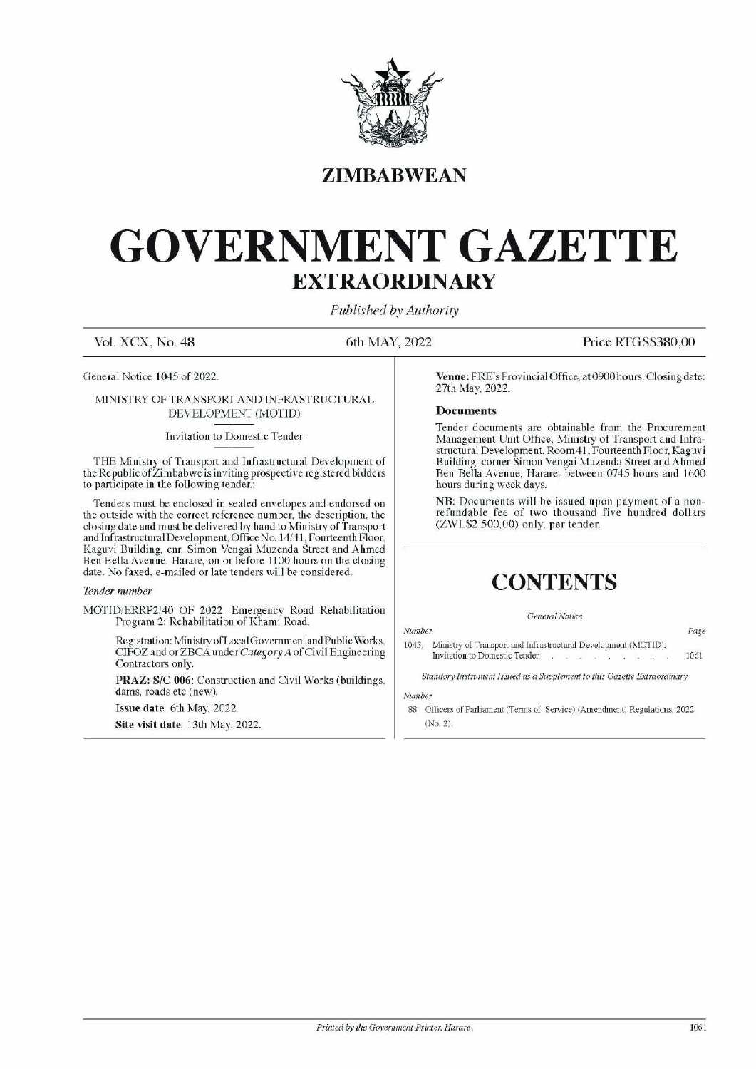

# ZIMBABWEAN

# GOVERNMENT GAZETTE EXTRAORDINARY EXTRAOR EXTRAOR  $\text{GOVERNME} \ \underset{\text{Vol. XCX, No. 48}}{\text{SUMBAI}}$

Published by Authority

Vol. XCX, No. 48 6th MAY, 2022 Price RTGS\$380,00

General Notice 1045 of 2022.

# MINISTRY OF TRANSPORT AND INFRASTRUCTURAL DEVELOPMENT (MOTID)

# Invitation to Domestic Tender

THE Ministry of Transport and Infrastructural Development of the Republic of Zimbabwe is inviting prospective registered bidders to participate in the following tender.

Tenders must be enclosed in sealed envelopes and endorsed on the outside with the correct reference number, the description, the closing date and must be delivered by hand to Ministry of Transport and Infrastructural Development, Office No. 14/41, Fourteenth Floor, Kaguvi Building, cnr. Simon Vengai Muzenda Street and Ahmed Ben Bella Avenue, Harare, on or before 1100 hours on the closing date. No faxed, e-mailed or late tenders will be considered. **EXTRAO EXPRESS CONTRACTE SET AND EXTRAO ENEXTRAO ENEXTRAO ENEXTRAO ENEXTRAO ENEXTRAO ENEXTRAO ENEXTRAO ENEXTRAO ENEXTRAO ENEXTRAO ENEXTRAO ENEXTRAO ENEXTRAO ENEXTRAO ENEXTRAO ENEXTRAO ENEXTRAO ENEXTRAO ENEXTRAO ENEXTRAO** MINISTRY OF DEANSFORT AND INSTRASTICATED<br>
DEVELOPMENT (MOTID)<br>
Invitation to Domestic Tender<br>
THE Ministry of Transport and Infrastructural Development of<br>
the Republic of Zimbabwe is invitage prospective registered bidder

# Tender number

MOTID/ERRP2/40 OF 2022. Emergency Road Rehabilitation Program 2: Rehabilitation of Khami Road.

Registration: Ministry of Local Government and Public Works, CIFOZ and or ZBCA under Category A of Civil Engineering Contractors only.

PRAZ: S/C 006: Construction and Civil Works (buildings, dams, roads etc (new).

Issue date: 6th May, 2022.

Site visit date: 13th May, 2022.

Venue: PRE's Provincial Office, at 0900 hours. Closing date: 27th May, 2022.

# Documents

Tender documents are obtainable from the Procurement Management Unit Office, Ministry of Transport and Infrastructural Development, Room41, Fourteenth Floor, Kaguvi Building, corner Simon Vengai Muzenda Street and Ahmed Ben Bella Avenue, Harare, between 0745 hours and 1600 hours during week days. **Solution Start Start Start Start Start Start Start Start Start Start Start Start Start Start Start Start Start Start Start Start Start Start Start Start Start Start Start Start Start Start Start Start Start Start Start St** 

NB: Documents will be issued upon payment of a nonrefundable fee of two thousand five hundred dollars (ZWL\$2 500,00) only, per tender.

# **CONTENTS**

# General Notice

Number 1045. Ministry of Transport and Infrastructural Development (MOTID): Page Invitation to Domestic Tender 1061

Statutory Instrument Issued as a Supplement to this Gazette Extraordinary

Number

88. Officers of Parliament (Terms of Service) (Amendment) Regulations, 2022 (No. 2).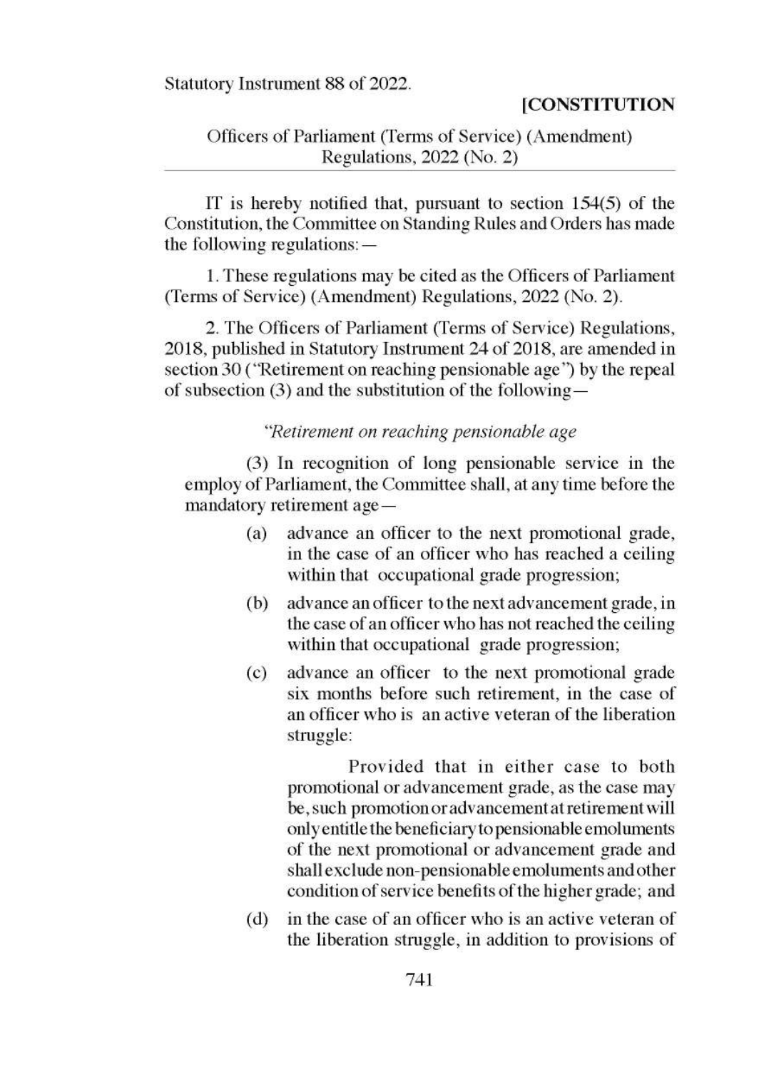Statutory Instrument 88 of 2022.

### **[CONSTITUTION**

# Officers of Parliament (Terms of Service) (Amendment) Statutory Instrument 88 of 2022.<br>
Officers of Parliament (Terms of Service)<br>
Regulations, 2022 (No. 2)

IT is hereby notified that, pursuant to section 154(5) of the Constitution, the Committee on Standing Rules and Orders has made the following regulations: —

1. These regulations may be cited as the Officers of Parliament (Terms of Service) (Amendment) Regulations, 2022 (No. 2).

2. The Officers of Parliament (Terms of Service) Regulations, 2018, published in Statutory Instrument 24 of 2018, are amended in section 30 ("Retirement on reaching pensionable age") by the repeal of subsection (3) and the substitution of the following —

# "Retirement on reaching pensionable age

(3) In recognition of long pensionable service in the employ of Parliament, the Committee shall, at any time before the mandatory retirement age —

- (a) advance an officer to the next promotional grade, in the case of an officer who has reached a ceiling within that occupational grade progression;
- (b) advance an officer to the next advancement grade, in the case of an officer who has not reached the ceiling within that occupational grade progression;
- (c) advance an officer to the next promotional grade six months before such retirement, in the case of an officer who is an active veteran of the liberation struggle:

Provided that in either case to both promotional or advancement grade, as the case may be, such promotion oradvancementat retirement will only entitle the beneficiary to pensionable emoluments of the next promotional or advancement grade and shall exclude non-pensionable emoluments and other condition of service benefits of the higher grade; and

(d) inthe case of an officer who is an active veteran of the liberation struggle, in addition to provisions of